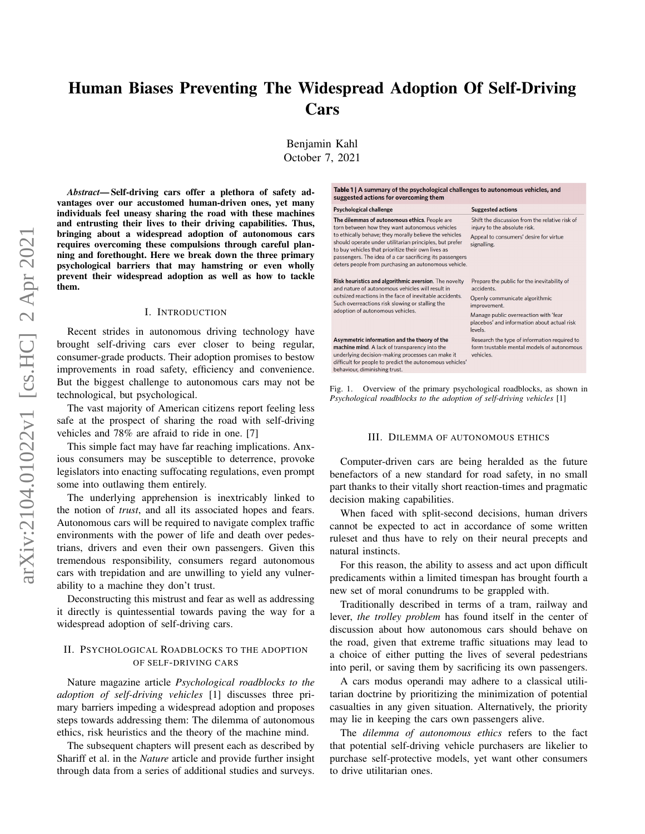# Human Biases Preventing The Widespread Adoption Of Self-Driving Cars

Benjamin Kahl October 7, 2021

*Abstract*— Self-driving cars offer a plethora of safety advantages over our accustomed human-driven ones, yet many individuals feel uneasy sharing the road with these machines and entrusting their lives to their driving capabilities. Thus, bringing about a widespread adoption of autonomous cars requires overcoming these compulsions through careful planning and forethought. Here we break down the three primary psychological barriers that may hamstring or even wholly prevent their widespread adoption as well as how to tackle them.

# I. INTRODUCTION

Recent strides in autonomous driving technology have brought self-driving cars ever closer to being regular, consumer-grade products. Their adoption promises to bestow improvements in road safety, efficiency and convenience. But the biggest challenge to autonomous cars may not be technological, but psychological.

The vast majority of American citizens report feeling less safe at the prospect of sharing the road with self-driving vehicles and 78% are afraid to ride in one. [7]

This simple fact may have far reaching implications. Anxious consumers may be susceptible to deterrence, provoke legislators into enacting suffocating regulations, even prompt some into outlawing them entirely.

The underlying apprehension is inextricably linked to the notion of *trust*, and all its associated hopes and fears. Autonomous cars will be required to navigate complex traffic environments with the power of life and death over pedestrians, drivers and even their own passengers. Given this tremendous responsibility, consumers regard autonomous cars with trepidation and are unwilling to yield any vulnerability to a machine they don't trust.

Deconstructing this mistrust and fear as well as addressing it directly is quintessential towards paving the way for a widespread adoption of self-driving cars.

# II. PSYCHOLOGICAL ROADBLOCKS TO THE ADOPTION OF SELF-DRIVING CARS

Nature magazine article *Psychological roadblocks to the adoption of self-driving vehicles* [1] discusses three primary barriers impeding a widespread adoption and proposes steps towards addressing them: The dilemma of autonomous ethics, risk heuristics and the theory of the machine mind.

The subsequent chapters will present each as described by Shariff et al. in the *Nature* article and provide further insight through data from a series of additional studies and surveys.

| Table 1   A summary of the psychological challenges to autonomous vehicles, and<br>suggested actions for overcoming them                                                                                                                                                                                                                                                                       |                                                                                                                                                                                                                |
|------------------------------------------------------------------------------------------------------------------------------------------------------------------------------------------------------------------------------------------------------------------------------------------------------------------------------------------------------------------------------------------------|----------------------------------------------------------------------------------------------------------------------------------------------------------------------------------------------------------------|
| <b>Psychological challenge</b>                                                                                                                                                                                                                                                                                                                                                                 | <b>Suggested actions</b>                                                                                                                                                                                       |
| The dilemmas of autonomous ethics. People are<br>torn between how they want autonomous vehicles<br>to ethically behave; they morally believe the vehicles<br>should operate under utilitarian principles, but prefer<br>to buy vehicles that prioritize their own lives as<br>passengers. The idea of a car sacrificing its passengers<br>deters people from purchasing an autonomous vehicle. | Shift the discussion from the relative risk of<br>injury to the absolute risk.<br>Appeal to consumers' desire for virtue<br>signalling.                                                                        |
| Risk heuristics and algorithmic aversion. The novelty<br>and nature of autonomous vehicles will result in<br>outsized reactions in the face of inevitable accidents.<br>Such overreactions risk slowing or stalling the<br>adoption of autonomous vehicles.                                                                                                                                    | Prepare the public for the inevitability of<br>accidents.<br>Openly communicate algorithmic<br>improvement.<br>Manage public overreaction with 'fear<br>placebos' and information about actual risk<br>levels. |
| Asymmetric information and the theory of the<br>machine mind. A lack of transparency into the<br>underlying decision-making processes can make it<br>difficult for people to predict the autonomous vehicles'<br>behaviour, diminishing trust.                                                                                                                                                 | Research the type of information required to<br>form trustable mental models of autonomous<br>vehicles.                                                                                                        |

Fig. 1. Overview of the primary psychological roadblocks, as shown in *Psychological roadblocks to the adoption of self-driving vehicles* [1]

### III. DILEMMA OF AUTONOMOUS ETHICS

Computer-driven cars are being heralded as the future benefactors of a new standard for road safety, in no small part thanks to their vitally short reaction-times and pragmatic decision making capabilities.

When faced with split-second decisions, human drivers cannot be expected to act in accordance of some written ruleset and thus have to rely on their neural precepts and natural instincts.

For this reason, the ability to assess and act upon difficult predicaments within a limited timespan has brought fourth a new set of moral conundrums to be grappled with.

Traditionally described in terms of a tram, railway and lever, *the trolley problem* has found itself in the center of discussion about how autonomous cars should behave on the road, given that extreme traffic situations may lead to a choice of either putting the lives of several pedestrians into peril, or saving them by sacrificing its own passengers.

A cars modus operandi may adhere to a classical utilitarian doctrine by prioritizing the minimization of potential casualties in any given situation. Alternatively, the priority may lie in keeping the cars own passengers alive.

The *dilemma of autonomous ethics* refers to the fact that potential self-driving vehicle purchasers are likelier to purchase self-protective models, yet want other consumers to drive utilitarian ones.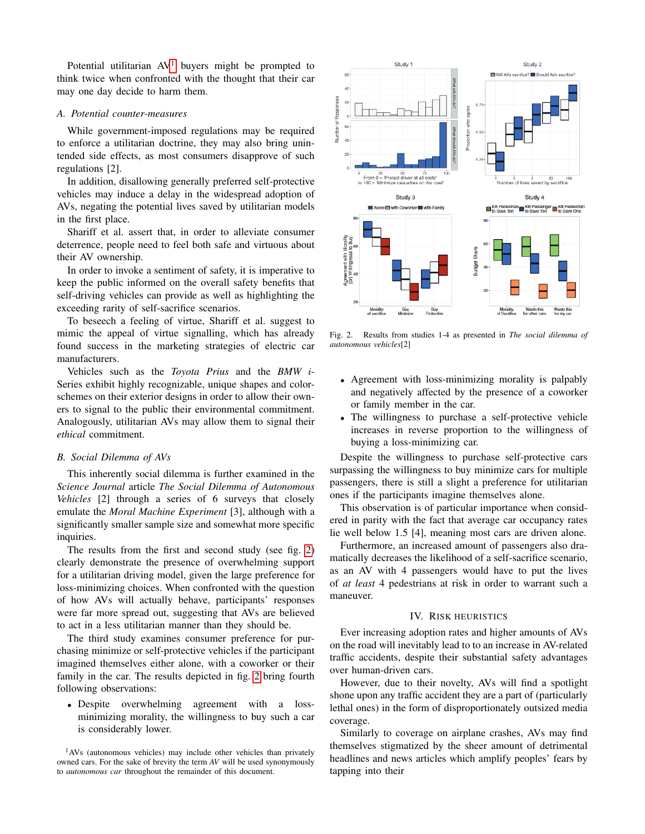Potential utilitarian  $AV<sup>1</sup>$  $AV<sup>1</sup>$  $AV<sup>1</sup>$  buyers might be prompted to think twice when confronted with the thought that their car may one day decide to harm them.

# *A. Potential counter-measures*

While government-imposed regulations may be required to enforce a utilitarian doctrine, they may also bring unintended side effects, as most consumers disapprove of such regulations [2].

In addition, disallowing generally preferred self-protective vehicles may induce a delay in the widespread adoption of AVs, negating the potential lives saved by utilitarian models in the first place.

Shariff et al. assert that, in order to alleviate consumer deterrence, people need to feel both safe and virtuous about their AV ownership.

In order to invoke a sentiment of safety, it is imperative to keep the public informed on the overall safety benefits that self-driving vehicles can provide as well as highlighting the exceeding rarity of self-sacrifice scenarios.

To beseech a feeling of virtue, Shariff et al. suggest to mimic the appeal of virtue signalling, which has already found success in the marketing strategies of electric car manufacturers.

Vehicles such as the *Toyota Prius* and the *BMW i*-Series exhibit highly recognizable, unique shapes and colorschemes on their exterior designs in order to allow their owners to signal to the public their environmental commitment. Analogously, utilitarian AVs may allow them to signal their *ethical* commitment.

# *B. Social Dilemma of AVs*

This inherently social dilemma is further examined in the *Science Journal* article *The Social Dilemma of Autonomous Vehicles* [2] through a series of 6 surveys that closely emulate the *Moral Machine Experiment* [3], although with a significantly smaller sample size and somewhat more specific inquiries.

The results from the first and second study (see fig. [2\)](#page-1-1) clearly demonstrate the presence of overwhelming support for a utilitarian driving model, given the large preference for loss-minimizing choices. When confronted with the question of how AVs will actually behave, participants' responses were far more spread out, suggesting that AVs are believed to act in a less utilitarian manner than they should be.

The third study examines consumer preference for purchasing minimize or self-protective vehicles if the participant imagined themselves either alone, with a coworker or their family in the car. The results depicted in fig. [2](#page-1-1) bring fourth following observations:

• Despite overwhelming agreement with a lossminimizing morality, the willingness to buy such a car is considerably lower.



<span id="page-1-1"></span>Fig. 2. Results from studies 1-4 as presented in *The social dilemma of autonomous vehicles*[2]

- Agreement with loss-minimizing morality is palpably and negatively affected by the presence of a coworker or family member in the car.
- The willingness to purchase a self-protective vehicle increases in reverse proportion to the willingness of buying a loss-minimizing car.

Despite the willingness to purchase self-protective cars surpassing the willingness to buy minimize cars for multiple passengers, there is still a slight a preference for utilitarian ones if the participants imagine themselves alone.

This observation is of particular importance when considered in parity with the fact that average car occupancy rates lie well below 1.5 [4], meaning most cars are driven alone.

Furthermore, an increased amount of passengers also dramatically decreases the likelihood of a self-sacrifice scenario, as an AV with 4 passengers would have to put the lives of *at least* 4 pedestrians at risk in order to warrant such a maneuver.

# IV. RISK HEURISTICS

Ever increasing adoption rates and higher amounts of AVs on the road will inevitably lead to to an increase in AV-related traffic accidents, despite their substantial safety advantages over human-driven cars.

However, due to their novelty, AVs will find a spotlight shone upon any traffic accident they are a part of (particularly lethal ones) in the form of disproportionately outsized media coverage.

Similarly to coverage on airplane crashes, AVs may find themselves stigmatized by the sheer amount of detrimental headlines and news articles which amplify peoples' fears by tapping into their

<span id="page-1-0"></span><sup>1</sup>AVs (autonomous vehicles) may include other vehicles than privately owned cars. For the sake of brevity the term *AV* will be used synonymously to *autonomous car* throughout the remainder of this document.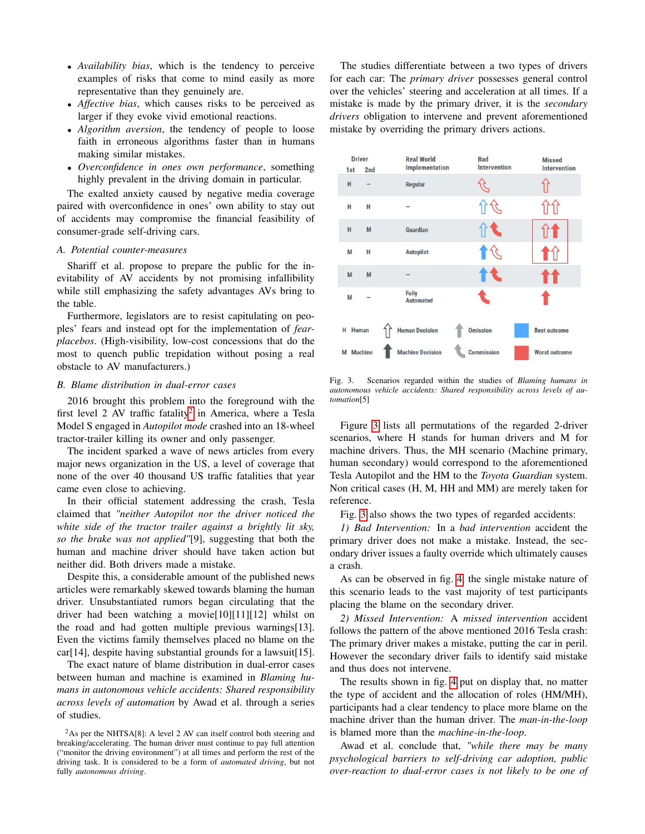- *Availability bias*, which is the tendency to perceive examples of risks that come to mind easily as more representative than they genuinely are.
- *Affective bias*, which causes risks to be perceived as larger if they evoke vivid emotional reactions.
- *Algorithm aversion*, the tendency of people to loose faith in erroneous algorithms faster than in humans making similar mistakes.
- *Overconfidence in ones own performance*, something highly prevalent in the driving domain in particular.

The exalted anxiety caused by negative media coverage paired with overconfidence in ones' own ability to stay out of accidents may compromise the financial feasibility of consumer-grade self-driving cars.

# *A. Potential counter-measures*

Shariff et al. propose to prepare the public for the inevitability of AV accidents by not promising infallibility while still emphasizing the safety advantages AVs bring to the table.

Furthermore, legislators are to resist capitulating on peoples' fears and instead opt for the implementation of *fearplacebos*. (High-visibility, low-cost concessions that do the most to quench public trepidation without posing a real obstacle to AV manufacturers.)

## *B. Blame distribution in dual-error cases*

2016 brought this problem into the foreground with the first level [2](#page-2-0) AV traffic fatality<sup>2</sup> in America, where a Tesla Model S engaged in *Autopilot mode* crashed into an 18-wheel tractor-trailer killing its owner and only passenger.

The incident sparked a wave of news articles from every major news organization in the US, a level of coverage that none of the over 40 thousand US traffic fatalities that year came even close to achieving.

In their official statement addressing the crash, Tesla claimed that *"neither Autopilot nor the driver noticed the white side of the tractor trailer against a brightly lit sky, so the brake was not applied"*[9], suggesting that both the human and machine driver should have taken action but neither did. Both drivers made a mistake.

Despite this, a considerable amount of the published news articles were remarkably skewed towards blaming the human driver. Unsubstantiated rumors began circulating that the driver had been watching a movie[10][11][12] whilst on the road and had gotten multiple previous warnings[13]. Even the victims family themselves placed no blame on the car[14], despite having substantial grounds for a lawsuit[15].

The exact nature of blame distribution in dual-error cases between human and machine is examined in *Blaming humans in autonomous vehicle accidents: Shared responsibility across levels of automation* by Awad et al. through a series of studies.

The studies differentiate between a two types of drivers for each car: The *primary driver* possesses general control over the vehicles' steering and acceleration at all times. If a mistake is made by the primary driver, it is the *secondary drivers* obligation to intervene and prevent aforementioned mistake by overriding the primary drivers actions.



<span id="page-2-1"></span>Fig. 3. Scenarios regarded within the studies of *Blaming humans in autonomous vehicle accidents: Shared responsibility across levels of automation*[5]

Figure [3](#page-2-1) lists all permutations of the regarded 2-driver scenarios, where H stands for human drivers and M for machine drivers. Thus, the MH scenario (Machine primary, human secondary) would correspond to the aforementioned Tesla Autopilot and the HM to the *Toyota Guardian* system. Non critical cases (H, M, HH and MM) are merely taken for reference.

Fig. [3](#page-2-1) also shows the two types of regarded accidents:

*1) Bad Intervention:* In a *bad intervention* accident the primary driver does not make a mistake. Instead, the secondary driver issues a faulty override which ultimately causes a crash.

As can be observed in fig. [4,](#page-3-0) the single mistake nature of this scenario leads to the vast majority of test participants placing the blame on the secondary driver.

*2) Missed Intervention:* A *missed intervention* accident follows the pattern of the above mentioned 2016 Tesla crash: The primary driver makes a mistake, putting the car in peril. However the secondary driver fails to identify said mistake and thus does not intervene.

The results shown in fig. [4](#page-3-0) put on display that, no matter the type of accident and the allocation of roles (HM/MH), participants had a clear tendency to place more blame on the machine driver than the human driver. The *man-in-the-loop* is blamed more than the *machine-in-the-loop*.

Awad et al. conclude that, *"while there may be many psychological barriers to self-driving car adoption, public over-reaction to dual-error cases is not likely to be one of*

<span id="page-2-0"></span> $2$ As per the NHTSA[8]: A level 2 AV can itself control both steering and breaking/accelerating. The human driver must continue to pay full attention ("monitor the driving environment") at all times and perform the rest of the driving task. It is considered to be a form of *automated driving*, but not fully *autonomous driving*.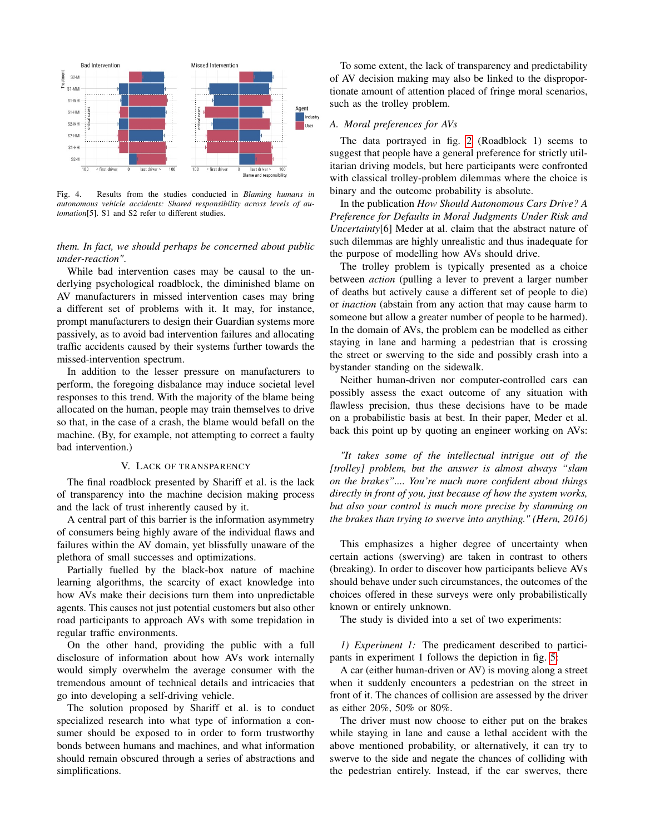

<span id="page-3-0"></span>Fig. 4. Results from the studies conducted in *Blaming humans in autonomous vehicle accidents: Shared responsibility across levels of automation*[5]. S1 and S2 refer to different studies.

*them. In fact, we should perhaps be concerned about public under-reaction"*.

While bad intervention cases may be causal to the underlying psychological roadblock, the diminished blame on AV manufacturers in missed intervention cases may bring a different set of problems with it. It may, for instance, prompt manufacturers to design their Guardian systems more passively, as to avoid bad intervention failures and allocating traffic accidents caused by their systems further towards the missed-intervention spectrum.

In addition to the lesser pressure on manufacturers to perform, the foregoing disbalance may induce societal level responses to this trend. With the majority of the blame being allocated on the human, people may train themselves to drive so that, in the case of a crash, the blame would befall on the machine. (By, for example, not attempting to correct a faulty bad intervention.)

## V. LACK OF TRANSPARENCY

The final roadblock presented by Shariff et al. is the lack of transparency into the machine decision making process and the lack of trust inherently caused by it.

A central part of this barrier is the information asymmetry of consumers being highly aware of the individual flaws and failures within the AV domain, yet blissfully unaware of the plethora of small successes and optimizations.

Partially fuelled by the black-box nature of machine learning algorithms, the scarcity of exact knowledge into how AVs make their decisions turn them into unpredictable agents. This causes not just potential customers but also other road participants to approach AVs with some trepidation in regular traffic environments.

On the other hand, providing the public with a full disclosure of information about how AVs work internally would simply overwhelm the average consumer with the tremendous amount of technical details and intricacies that go into developing a self-driving vehicle.

The solution proposed by Shariff et al. is to conduct specialized research into what type of information a consumer should be exposed to in order to form trustworthy bonds between humans and machines, and what information should remain obscured through a series of abstractions and simplifications.

To some extent, the lack of transparency and predictability of AV decision making may also be linked to the disproportionate amount of attention placed of fringe moral scenarios, such as the trolley problem.

# *A. Moral preferences for AVs*

The data portrayed in fig. [2](#page-1-1) (Roadblock 1) seems to suggest that people have a general preference for strictly utilitarian driving models, but here participants were confronted with classical trolley-problem dilemmas where the choice is binary and the outcome probability is absolute.

In the publication *How Should Autonomous Cars Drive? A Preference for Defaults in Moral Judgments Under Risk and Uncertainty*[6] Meder at al. claim that the abstract nature of such dilemmas are highly unrealistic and thus inadequate for the purpose of modelling how AVs should drive.

The trolley problem is typically presented as a choice between *action* (pulling a lever to prevent a larger number of deaths but actively cause a different set of people to die) or *inaction* (abstain from any action that may cause harm to someone but allow a greater number of people to be harmed). In the domain of AVs, the problem can be modelled as either staying in lane and harming a pedestrian that is crossing the street or swerving to the side and possibly crash into a bystander standing on the sidewalk.

Neither human-driven nor computer-controlled cars can possibly assess the exact outcome of any situation with flawless precision, thus these decisions have to be made on a probabilistic basis at best. In their paper, Meder et al. back this point up by quoting an engineer working on AVs:

*"It takes some of the intellectual intrigue out of the [trolley] problem, but the answer is almost always "slam on the brakes".... You're much more confident about things directly in front of you, just because of how the system works, but also your control is much more precise by slamming on the brakes than trying to swerve into anything." (Hern, 2016)*

This emphasizes a higher degree of uncertainty when certain actions (swerving) are taken in contrast to others (breaking). In order to discover how participants believe AVs should behave under such circumstances, the outcomes of the choices offered in these surveys were only probabilistically known or entirely unknown.

The study is divided into a set of two experiments:

*1) Experiment 1:* The predicament described to participants in experiment 1 follows the depiction in fig. [5:](#page-4-0)

A car (either human-driven or AV) is moving along a street when it suddenly encounters a pedestrian on the street in front of it. The chances of collision are assessed by the driver as either 20%, 50% or 80%.

The driver must now choose to either put on the brakes while staying in lane and cause a lethal accident with the above mentioned probability, or alternatively, it can try to swerve to the side and negate the chances of colliding with the pedestrian entirely. Instead, if the car swerves, there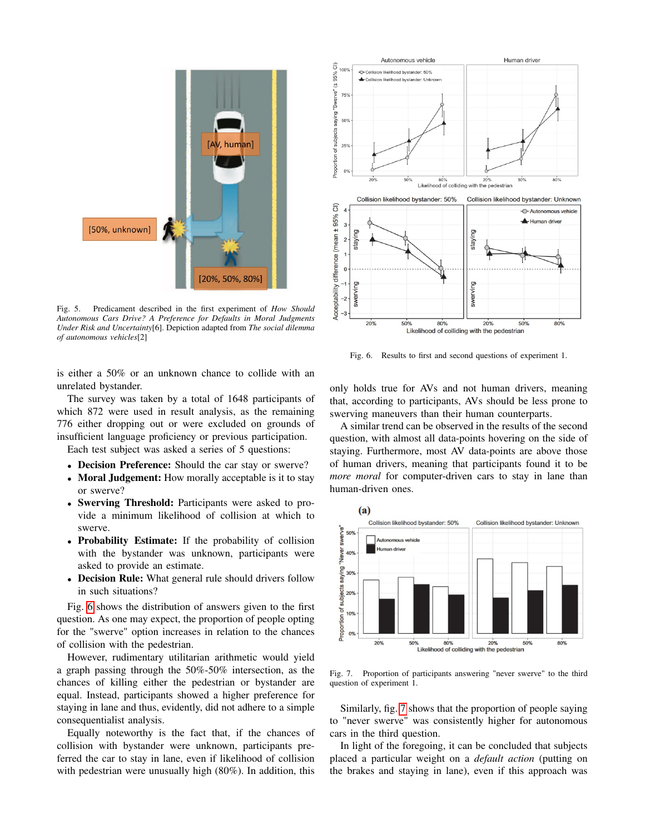

<span id="page-4-0"></span>Fig. 5. Predicament described in the first experiment of *How Should Autonomous Cars Drive? A Preference for Defaults in Moral Judgments Under Risk and Uncertainty*[6]. Depiction adapted from *The social dilemma of autonomous vehicles*[2]

is either a 50% or an unknown chance to collide with an unrelated bystander.

The survey was taken by a total of 1648 participants of which 872 were used in result analysis, as the remaining 776 either dropping out or were excluded on grounds of insufficient language proficiency or previous participation.

Each test subject was asked a series of 5 questions:

- Decision Preference: Should the car stay or swerve?
- Moral Judgement: How morally acceptable is it to stay or swerve?
- Swerving Threshold: Participants were asked to provide a minimum likelihood of collision at which to swerve.
- Probability Estimate: If the probability of collision with the bystander was unknown, participants were asked to provide an estimate.
- Decision Rule: What general rule should drivers follow in such situations?

Fig. [6](#page-4-1) shows the distribution of answers given to the first question. As one may expect, the proportion of people opting for the "swerve" option increases in relation to the chances of collision with the pedestrian.

However, rudimentary utilitarian arithmetic would yield a graph passing through the 50%-50% intersection, as the chances of killing either the pedestrian or bystander are equal. Instead, participants showed a higher preference for staying in lane and thus, evidently, did not adhere to a simple consequentialist analysis.

Equally noteworthy is the fact that, if the chances of collision with bystander were unknown, participants preferred the car to stay in lane, even if likelihood of collision with pedestrian were unusually high (80%). In addition, this



<span id="page-4-1"></span>Fig. 6. Results to first and second questions of experiment 1.

only holds true for AVs and not human drivers, meaning that, according to participants, AVs should be less prone to swerving maneuvers than their human counterparts.

A similar trend can be observed in the results of the second question, with almost all data-points hovering on the side of staying. Furthermore, most AV data-points are above those of human drivers, meaning that participants found it to be *more moral* for computer-driven cars to stay in lane than human-driven ones.



<span id="page-4-2"></span>Fig. 7. Proportion of participants answering "never swerve" to the third question of experiment 1.

Similarly, fig. [7](#page-4-2) shows that the proportion of people saying to "never swerve" was consistently higher for autonomous cars in the third question.

In light of the foregoing, it can be concluded that subjects placed a particular weight on a *default action* (putting on the brakes and staying in lane), even if this approach was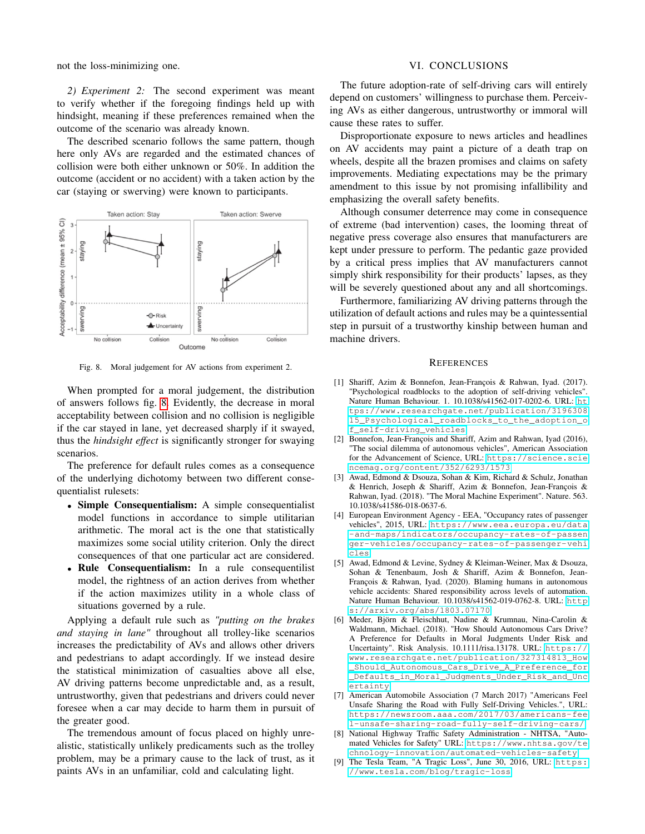not the loss-minimizing one.

*2) Experiment 2:* The second experiment was meant to verify whether if the foregoing findings held up with hindsight, meaning if these preferences remained when the outcome of the scenario was already known.

The described scenario follows the same pattern, though here only AVs are regarded and the estimated chances of collision were both either unknown or 50%. In addition the outcome (accident or no accident) with a taken action by the car (staying or swerving) were known to participants.



<span id="page-5-0"></span>Fig. 8. Moral judgement for AV actions from experiment 2.

When prompted for a moral judgement, the distribution of answers follows fig. [8.](#page-5-0) Evidently, the decrease in moral acceptability between collision and no collision is negligible if the car stayed in lane, yet decreased sharply if it swayed, thus the *hindsight effect* is significantly stronger for swaying scenarios.

The preference for default rules comes as a consequence of the underlying dichotomy between two different consequentialist rulesets:

- Simple Consequentialism: A simple consequentialist model functions in accordance to simple utilitarian arithmetic. The moral act is the one that statistically maximizes some social utility criterion. Only the direct consequences of that one particular act are considered.
- Rule Consequentialism: In a rule consequentilist model, the rightness of an action derives from whether if the action maximizes utility in a whole class of situations governed by a rule.

Applying a default rule such as *"putting on the brakes and staying in lane"* throughout all trolley-like scenarios increases the predictability of AVs and allows other drivers and pedestrians to adapt accordingly. If we instead desire the statistical minimization of casualties above all else, AV driving patterns become unpredictable and, as a result, untrustworthy, given that pedestrians and drivers could never foresee when a car may decide to harm them in pursuit of the greater good.

The tremendous amount of focus placed on highly unrealistic, statistically unlikely predicaments such as the trolley problem, may be a primary cause to the lack of trust, as it paints AVs in an unfamiliar, cold and calculating light.

## VI. CONCLUSIONS

The future adoption-rate of self-driving cars will entirely depend on customers' willingness to purchase them. Perceiving AVs as either dangerous, untrustworthy or immoral will cause these rates to suffer.

Disproportionate exposure to news articles and headlines on AV accidents may paint a picture of a death trap on wheels, despite all the brazen promises and claims on safety improvements. Mediating expectations may be the primary amendment to this issue by not promising infallibility and emphasizing the overall safety benefits.

Although consumer deterrence may come in consequence of extreme (bad intervention) cases, the looming threat of negative press coverage also ensures that manufacturers are kept under pressure to perform. The pedantic gaze provided by a critical press implies that AV manufacturers cannot simply shirk responsibility for their products' lapses, as they will be severely questioned about any and all shortcomings.

Furthermore, familiarizing AV driving patterns through the utilization of default actions and rules may be a quintessential step in pursuit of a trustworthy kinship between human and machine drivers.

#### **REFERENCES**

- [1] Shariff, Azim & Bonnefon, Jean-François & Rahwan, Iyad. (2017). "Psychological roadblocks to the adoption of self-driving vehicles". Nature Human Behaviour. 1. 10.1038/s41562-017-0202-6. URL: [ht](https://www.researchgate.net/publication/319630815_Psychological_roadblocks_to_the_adoption_of_self-driving_vehicles) [tps://www.researchgate.net/publication/3196308](https://www.researchgate.net/publication/319630815_Psychological_roadblocks_to_the_adoption_of_self-driving_vehicles) [15\\_Psychological\\_roadblocks\\_to\\_the\\_adoption\\_o](https://www.researchgate.net/publication/319630815_Psychological_roadblocks_to_the_adoption_of_self-driving_vehicles) [f\\_self-driving\\_vehicles](https://www.researchgate.net/publication/319630815_Psychological_roadblocks_to_the_adoption_of_self-driving_vehicles)
- [2] Bonnefon, Jean-François and Shariff, Azim and Rahwan, Iyad (2016), "The social dilemma of autonomous vehicles", American Association for the Advancement of Science, URL: [https://science.scie](https://science.sciencemag.org/content/352/6293/1573) [ncemag.org/content/352/6293/1573](https://science.sciencemag.org/content/352/6293/1573)
- [3] Awad, Edmond & Dsouza, Sohan & Kim, Richard & Schulz, Jonathan & Henrich, Joseph & Shariff, Azim & Bonnefon, Jean-François & Rahwan, Iyad. (2018). "The Moral Machine Experiment". Nature. 563. 10.1038/s41586-018-0637-6.
- [4] European Environment Agency EEA, "Occupancy rates of passenger vehicles", 2015, URL: [https://www.eea.europa.eu/data](https://www.eea.europa.eu/data-and-maps/indicators/occupancy-rates-of-passenger-vehicles/occupancy-rates-of-passenger-vehicles) [-and-maps/indicators/occupancy-rates-of-passen](https://www.eea.europa.eu/data-and-maps/indicators/occupancy-rates-of-passenger-vehicles/occupancy-rates-of-passenger-vehicles) [ger-vehicles/occupancy-rates-of-passenger-vehi](https://www.eea.europa.eu/data-and-maps/indicators/occupancy-rates-of-passenger-vehicles/occupancy-rates-of-passenger-vehicles) [cles](https://www.eea.europa.eu/data-and-maps/indicators/occupancy-rates-of-passenger-vehicles/occupancy-rates-of-passenger-vehicles)
- [5] Awad, Edmond & Levine, Sydney & Kleiman-Weiner, Max & Dsouza, Sohan & Tenenbaum, Josh & Shariff, Azim & Bonnefon, Jean-François & Rahwan, Iyad. (2020). Blaming humans in autonomous vehicle accidents: Shared responsibility across levels of automation. Nature Human Behaviour. 10.1038/s41562-019-0762-8. URL: [http](https://arxiv.org/abs/1803.07170) [s://arxiv.org/abs/1803.07170](https://arxiv.org/abs/1803.07170)
- [6] Meder, Björn & Fleischhut, Nadine & Krumnau, Nina-Carolin & Waldmann, Michael. (2018). "How Should Autonomous Cars Drive? A Preference for Defaults in Moral Judgments Under Risk and Uncertainty". Risk Analysis. 10.1111/risa.13178. URL: [https://](https://www.researchgate.net/publication/327314813_How_Should_Autonomous_Cars_Drive_A_Preference_for_Defaults_in_Moral_Judgments_Under_Risk_and_Uncertainty) [www.researchgate.net/publication/327314813\\_How](https://www.researchgate.net/publication/327314813_How_Should_Autonomous_Cars_Drive_A_Preference_for_Defaults_in_Moral_Judgments_Under_Risk_and_Uncertainty) [\\_Should\\_Autonomous\\_Cars\\_Drive\\_A\\_Preference\\_for](https://www.researchgate.net/publication/327314813_How_Should_Autonomous_Cars_Drive_A_Preference_for_Defaults_in_Moral_Judgments_Under_Risk_and_Uncertainty) [\\_Defaults\\_in\\_Moral\\_Judgments\\_Under\\_Risk\\_and\\_Unc](https://www.researchgate.net/publication/327314813_How_Should_Autonomous_Cars_Drive_A_Preference_for_Defaults_in_Moral_Judgments_Under_Risk_and_Uncertainty) [ertainty](https://www.researchgate.net/publication/327314813_How_Should_Autonomous_Cars_Drive_A_Preference_for_Defaults_in_Moral_Judgments_Under_Risk_and_Uncertainty)
- [7] American Automobile Association (7 March 2017) "Americans Feel Unsafe Sharing the Road with Fully Self-Driving Vehicles.", URL: [https://newsroom.aaa.com/2017/03/americans-fee](https://newsroom.aaa.com/2017/03/americans-feel-unsafe-sharing-road-fully-self-driving-cars/) [l-unsafe-sharing-road-fully-self-driving-cars/](https://newsroom.aaa.com/2017/03/americans-feel-unsafe-sharing-road-fully-self-driving-cars/)
- [8] National Highway Traffic Safety Administration NHTSA, "Automated Vehicles for Safety" URL: [https://www.nhtsa.gov/te](https://www.nhtsa.gov/technology-innovation/automated-vehicles-safety) [chnology-innovation/automated-vehicles-safety](https://www.nhtsa.gov/technology-innovation/automated-vehicles-safety)
- [9] The Tesla Team, "A Tragic Loss", June 30, 2016, URL: [https:](https://www.tesla.com/blog/tragic-loss) [//www.tesla.com/blog/tragic-loss](https://www.tesla.com/blog/tragic-loss)